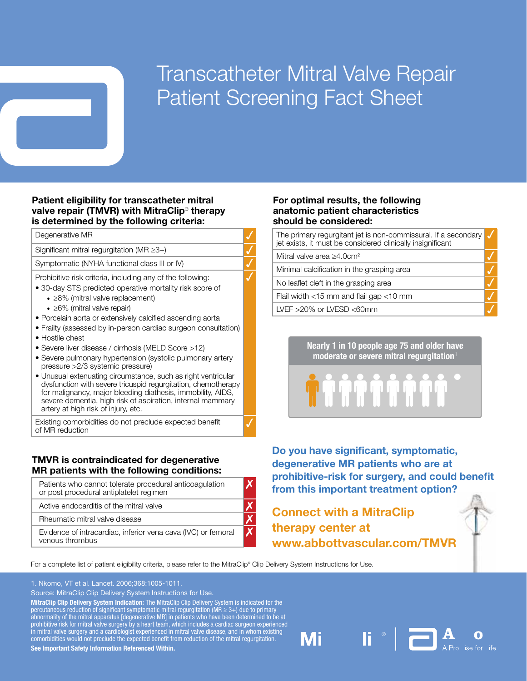# Transcatheter Mitral Valve Repair Patient Screening Fact Sheet

#### Patient eligibility for transcatheter mitral valve repair (TMVR) with MitraClip® therapy is determined by the following criteria:

Degenerative MR

Significant mitral regurgitation (MR  $\geq$ 3+)

Symptomatic (NYHA functional class III or IV)

Prohibitive risk criteria, including any of the following:

- 30-day STS predicted operative mortality risk score of
	- ◆ ≥8% (mitral valve replacement)
	- ◆ ≥6% (mitral valve repair)
- Porcelain aorta or extensively calcified ascending aorta
- Frailty (assessed by in-person cardiac surgeon consultation)
- Hostile chest
- Severe liver disease / cirrhosis (MELD Score >12)
- Severe pulmonary hypertension (systolic pulmonary artery pressure >2/3 systemic pressure)
- • Unusual extenuating circumstance, such as right ventricular dysfunction with severe tricuspid regurgitation, chemotherapy for malignancy, major bleeding diathesis, immobility, AIDS, severe dementia, high risk of aspiration, internal mammary artery at high risk of injury, etc.

Existing comorbidities do not preclude expected benefit of MR reduction

### TMVR is contraindicated for degenerative MR patients with the following conditions:

| Patients who cannot tolerate procedural anticoagulation<br>or post procedural antiplatelet regimen |  |
|----------------------------------------------------------------------------------------------------|--|
| Active endocarditis of the mitral valve                                                            |  |
| Rheumatic mitral valve disease                                                                     |  |
| Evidence of intracardiac, inferior vena cava (IVC) or femoral<br>venous thrombus                   |  |

#### For optimal results, the following anatomic patient characteristics should be considered:

The primary regurgitant jet is non-commissural. If a secondary jet exists, it must be considered clinically insignificant  $\checkmark$ 

Mitral valve area ≥4.0cm2 3

 $\checkmark$ 

Minimal calcification in the grasping area

No leaflet cleft in the grasping area

Flail width  $<$ 15 mm and flail gap  $<$ 10 mm

LVEF  $>20\%$  or LVESD  $<$ 60mm

Nearly 1 in 10 people age 75 and older have moderate or severe mitral regurgitation $1$ 

**ITO TO TO TO** 

 degenerative MR patients who are at Do you have significant, symptomatic, prohibitive-risk for surgery, and could benefit from this important treatment option?

## Connect with a MitraClip therapy center at www.abbottvascular.com/TMVR

Mi

For a complete list of patient eligibility criteria, please refer to the MitraClip® Clip Delivery System Instructions for Use.

1. Nkomo, VT et al. Lancet. 2006;368:1005-1011.

Source: MitraClip Clip Delivery System Instructions for Use.

MitraClip Clip Delivery System Indication: The MitraClip Clip Delivery System is indicated for the percutaneous reduction of significant symptomatic mitral regurgitation (MR  $\geq 3+$ ) due to primary abnormality of the mitral apparatus [degenerative MR] in patients who have been determined to be at prohibitive risk for mitral valve surgery by a heart team, which includes a cardiac surgeon experienced in mitral valve surgery and a cardiologist experienced in mitral valve disease, and in whom existing comorbidities would not preclude the expected benefit from reduction of the mitral regurgitation.

See Important Safety Information Referenced Within.